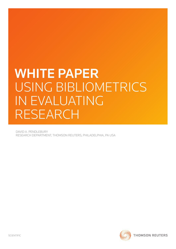# WHITE PAPER Using Bibliometrics in Evaluating **RESEARCH**

David A. Pendlebury Research Department, Thomson Reuters, Philadelphia, PA USA

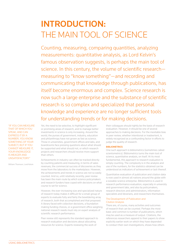# INTRODUCTION: THE MAIN TOOL OF SCIENCE

Counting, measuring, comparing quantities, analyzing measurements: quantitative analysis, as Lord Kelvin's famous observation suggests, is perhaps the main tool of science. In this century, the volume of scientific research measuring to "know something"—and recording and communicating that knowledge through publications, has itself become enormous and complex. Science research is now such a large enterprise and the substance of scientific research is so complex and specialized that personal knowledge and experience are no longer sufficient tools for understanding trends or for making decisions.

"If you can measure that of which you speak, and can express it by a number, you know SOMETHING OF YOUR subject; but if you cannot measure it, your knowledge is meager and unsatisfactory."

William Thomson, Lord Kelvin

Yet, the need to be selective, to highlight significant or promising areas of research, and to manage better investments in science is only increasing. Around the world, the purses of government, industry, education and philanthropy have not grown as fast as science. Those in universities, government offices and labs, and boardrooms face pressing questions about what should be supported and what should not, or which research projects and researchers should receive more support than others.

Achievements in industry can often be tracked directly by counting patents and measuring, in terms of sales revenues, the commercial success of discoveries as they move from the laboratory to the marketplace. However, the achievements and trends in science are not so easily counted. And so, until relatively recently, peer review has been the main route by which science policymakers and research funders have coped with decisions on what course to set for science.

However, the ever-increasing size and specialized nature of research today makes it difficult for a small group of experts to evaluate fully and fairly the bewildering array of research, both that accomplished and that proposed. A library faced with collection decisions, a foundation making funding choices, or a government office weighing national research needs must rely on expert analysis of scientific research performance.

Peer review still represents the standard approach to research evaluation and decisions about allocating resources for science. Experts reviewing the work of

their colleagues should rightly be the basis of research evaluation. However, it should be one of several approaches to making decisions. For the inevitable bias in peer review, whether intentional or inadvertent, is widely recognized as a confounding factor in efforts to judge the quality of research.

#### **BIBLIOMETRICS**

One such approach is bibliometrics (sometimes called scientometrics). Bibliometrics turns the main tool of science, quantitative analysis, on itself. At its most fundamental, this approach to research evaluation is simply counting. The complexity is in the analysis and use of the numbers, for the statistics obtained can be understood as indicators of achievement or lack thereof.

Quantitative evaluation of publication and citation data is now used in almost all nations around the globe with a sizeable science enterprise. Bibliometrics is used in research performance evaluation, especially in university and government labs, and also by policymakers, research directors and administrators, information specialists and librarians, and researchers themselves.

# The Development of Publication and Citation Analysis

 **. . . . . . . . . . . . . . . . . . . . . . . . . . . . . . . . . . . . . . . . . . . . . . . . . . . . . . . . . . . . . . . . . . . . . . . . . . . . . . . . . . . . . . . . . . . . . . . . . . . . . . . . . . . . . . . . . . . . . . .**

There are, of course, many activities and outcomes of research that can be counted. Perhaps the most basic and common is number of publications, which may be used as a measure of output. Citations, the references researchers append to their papers to show explicitly earlier work on which they have depended to conduct their own investigations, shows how others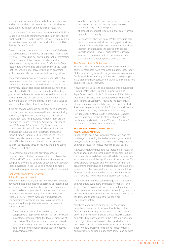use a work in subsequent research. Tracking citations and understanding their trends in context is a key to evaluating the impact and influence of research.

A citation index for science was first described in 1955 by Eugene Garfield, the founder and chairman emeritus of what was then ISI, in the journal *Science*. He realized his vision a few years later with the production of the 1961 *Science Citation Index®*.

The original and continuing main purpose of Garfield's citation database is improved or expanded information retrieval. By recording not only bibliographic information on the journal articles covered but also the cited references in these journal articles, Dr. Garfield offered researchers a way to find articles relevant to their work that they would not otherwise turn up by searching author names, title words, or subject headings alone.

The operating principle of a citation index is this: If a researcher knows of a publication important to his or her work, a citation index would allow the researcher to identify journal articles published subsequent to that work that cited it. On the assumption that the citing journal article is related in some way to the substance of the cited work, the user of the citation index may, as it were, search forward in time to uncover studies of interest potentially profitable for the researcher's work.

It did not escape Garfield's notice that such a database could serve other purposes as well, such as monitoring and analyzing the structure and growth of science. Others, too, saw this possibility. Among them are the historian of science Derek J. de Solla Price, author of the 1963 classic *Little Science, Big Science*, and the sociologists of science Robert K. Merton, Jonathan and Stephen Cole, Warren Hagstrom, and Diana Crane. Francis Narin of CHI Research in the United States was also an early proponent and pioneer in using ISI publication and citation data to analyze science, particularly through his influential *Evaluative Bibliometrics* of 1976.

The combination of an ever-growing corpus of publication and citation data compiled by ISI over the 1960s and 1970s and the simultaneous increase in computing power and software applications, especially those developed in the 1980s and 1990s, has made bibliometrics a practical and even cost-effective pursuit.

# Bibliometrics and Peer Judgment: A Two-Pronged Approach

Never in its long history has ISI, now Thomson Reuters, advocated that bibliometrics supercede or replace peer judgements. Rather, publication and citation analysis is meant to be a supplement to peer review. The two together—peer review and quantitative analysis of research—better inform evaluation and decisions. For quantitative analysis offers certain advantages in gathering the objective information necessary to decision-making:

Quantitative analysis of research is global in perspective, a "top-down" review that puts the work in context, complementing the local perspective of peer review. Quantitative research analysis provides data on all activity in an area, summaries of these data, and a comprehensive perspective on activity and achievements.

Weighted quantitative measures, such as papers per researcher or citations per paper, remove characteristics, such as the place of production, or past reputation, that color human perceptions of quality.

For example, when we think of "the best," it is hard not to think automatically of the biggest producers, such as individuals, labs, and universities; but those locations might not be the source of the most important work. Likewise, quantitative research analysis indicates current top performers, thus balancing human perceptions of reputation.

# The Growing Use of Bibliometrics

For these reasons and others, nations with significant science enterprises have embraced bibliometrics. Today, bibliometrics programs with large teams of analysts are firmly established in many nations, and these groups issue bibliometric reports, often called science indicators studies, at regular intervals.

A few such groups are the National Science Foundation (United States); the European Commission; and Japan's National Institute for Informatics (NII), National Institute for Science and Technology Policy (NISTEP), and Ministry of Economy, Trade and Industry (METI). Other nations with active bibliometrics groups include Australia, Belgium, Brazil, Chile, China, Finland, France, Germany, Israel, Italy, The Netherlands, Norway, Portugal, South Africa, South Korea, Spain, Sweden, Switzerland, and Taiwan. In almost all cases, the publication and citation data of Thomson Reuters form the basis of their bibliometric analyses.

# Ten Rules for Using Publication and Citation Analysis

In light of science's ever-growing complexity and the challenge of rationing limited resources, government policymakers, managers, and others turn to quantitative analysis of research to help make their task easier.

However, employing quantitative indicators of research performance adds an extra burden to decision-makers: they must strive to define clearly the data they need and work to understand the significance of the analyses. This extra effort is necessary and worthwhile, both for the greater understanding and practical help the data offer, as well as for the beneficial effect of the data: adding fairness to evaluation and helping to prevent abuses that may arise from small-scale, closed peer review.

It is important to understand what quantitative research analysis offers evaluators and decision makers—and what it cannot possibly deliver. For these techniques or tools can never be a substitute for human judgment. It is important that measurement and judgment be used in tandem, and that the quantitative tools are used appropriately.

Numbers alone can be dangerous because they have the appearance of being authoritative. In the face of statistics, many discussions stop. And that is unfortunate: numbers instead should fuel discussions and help illuminate features in the research landscape that might otherwise be overlooked. And when the purpose of pursuing quantitative analysis of research is for "window dressing" or to prove to policymakers, administrators, or funding agencies something decided

 **. . . . . . . . . . . . . . . . . . . . . . . . . . . . . . . . . . . . . . . . . . . . . . . . . . . . . . . . . . . . . . . . . . . . . . . . . . . . . . . . . . . . . . . . . . . . . . . . . . . . . . . . . . . . . . . . . . . . . . .**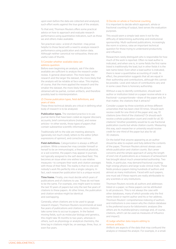upon even before the data are collected and analyzed, such effort works against the true goal of the analysis.

To that end, Thomson Reuters offers some practical advice on how to approach and evaluate research performance using quantitative indicators, such as those we and others make available.

Ten practical rules—a kind of checklist—may prove helpful to those faced with a need to analyze research performance using publication and citation data. Although neither canonical nor exhaustive, these are useful rules of thumb.

# 1) Consider whether available data can address question.

Before even beginning an analysis, ask if the data available are sufficient to analyze the research under review. A general observation: The more basic the research and the larger the dataset, the more likely that the analysis will be reliable at face value. This implies, of course, that the more applied the research and the smaller the dataset, the more likely the picture obtained will be partial, contain artifacts, and therefore possibly lead to misinterpretation.

#### 2) Choose publication types, field definitions, and years of data.

These three technical details are critical in defining what body of research is to be analyzed.

**Publication types.** The standard practice is to use journal items that have been coded as regular discovery accounts, brief communications (notes), and review articles—in other words, those types of papers that contain substantive scientific information.

Traditionally left to the side are meeting abstracts (generally not much cited), letters to the editor (often expressions of opinion), and correction notices.

**Field definitions.** Categorization is always a difficult problem. While a researcher may consider himself or herself to be an immunologist, a theoretical physicist, or a soil scientist, the papers may appear in journals not typically assigned to the self-described field. This becomes an issue when one wishes to use relative measures—to compare their work and citation averages with those of their field. The reality is that no one and nobody's work fits perfectly into a single category. In fact, each researcher publication list is a unique record.

**Time frame.** Finally, one must decide which years of publications and of citations to use. These do not have to be the same. For example, one might want to review the last 10 years of papers but only the last five years of citations to these papers. At other times, the publication and citation window might be identical and overlapping.

Generally, when citations are to be used to gauge research impact, Thomson Reuters recommends at least five years of publications and citations, since citations take some time to accrue to papers. In the fastest moving fields, such as molecular biology and genetics, this might take 18 months to two years, whereas in others, such as physiology or analytical chemistry, the time lag in citations might be, on average, three, four, or even five years.

# 3) Decide on whole or fractional counting.

It is important to decide which approach, whole or fractional counting of output, best serves the evaluation purposes.

This would seem a simple task were it not for the difficulty of determining authorship and institutional sponsorship. Multi-authored publications, increasingly the norm in science, raise an important technical question for those trying to understand productivity and influence.

Researchers rarely distinguish who is responsible for how much of the work is reported. Often no lead author is indicated, and when one is, in some fields the first name listed is traditionally the lead, but in other fields it is the last name listed. Even when a lead author is indicated, there is never a quantitative accounting of credit. In effect, the presentation suggests that all are equal in their authorship and contributions, although this cannot be possible. Level and nature of contributions vary and in some cases there is honorary authorship.

Without a way to identify contribution, should each author or institution listed on a paper receive whole or a fractional—a proportionate—share of the paper and, for that matter, the citations that it attracts?

Consider a paper by three scientists at three different universities that has been cited 30 times. Should each receive credit for one-third of the paper and, say, 10 citations (one-third of the citations)? Or should each receive a whole publication count and credit for all 30 citations? Another possibility would be to use fractional publication counts but whole citation counts. Measuring this way, each researcher or university would receive credit for one-third of the paper but also for all 30 citations.

On the belief that anyone appearing as an author should be able to explain and fully defend the contents of the paper, Thomson Reuters almost always uses whole publication and citation counts. But career concerns and the simple approach of using the length of one's list of publications as a measure of achievement has brought about much unwarranted authorship. Two fields, in particular, may demand fractional counting: high-energy physics and large-scale clinical trials. These fields produce papers listing hundreds of authors and almost as many institutions. Faced with such papers, one must ask if these reports are really attributable to any scientists or any institutions.

Thomson Reuters records all authors and addresses listed on a paper, so these papers can be attributed to all producers. This is not always the case with other databases, many of which provide only the first name listed or reprint author and his or her address. Thomson Reuters' comprehensive indexing of authors and institutions is one reason why the citation database is the preferred source for bibliometric analyses (the others are its multidisciplinary coverage and, of course, citations, which can be used as measures of influence and impact).

# 4) Judge whether data require editing to remove artifacts.

 **. . . . . . . . . . . . . . . . . . . . . . . . . . . . . . . . . . . . . . . . . . . . . . . . . . . . . . . . . . . . . . . . . . . . . . . . . . . . . . . . . . . . . . . . . . . . . . . . . . . . . . . . . . . . . . . . . . . . . . .**

*Artifacts* are aspects of the data that may confound the analysis or mislead the analyst. For example, in a small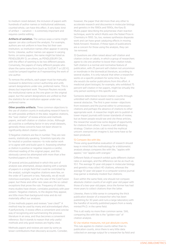to medium-sized dataset, the inclusion of papers with hundreds of author names or institutional addresses, counted whole, can have this effect. A very basic kind of artifact — variation — is extremely important and requires careful editing.

**Artifacts of variation.** The various ways a name might appear can also confound the analysis. For example, authors are not uniform in how they list their own institution, so institution names often appear in varying forms. Likewise, author names can appear in varying forms: on some papers, the name might be listed as PENDLEBURY D, on others, as PENDLEBURY DA, with the effect of seeming to be two different people. Conversely, the papers of many different people who share the same name form (such as SUZUKI T or LEE K), could be lumped together as if representing the work of one author.

To remove the artifacts, each paper must be manually reviewed to determine correct authorship and unify variant designations under one, preferred name. This is dreary but important work. Thomson Reuters records the institutional name as the one given on the original paper, but the variant designations are unified so that the statistics for an institution appear under one, preferred name.

**Other possible artifacts.** Three common objections to the use of citation counts in evaluating research have to do with possible artifacts in the data: negative citations, the "over citation" of review articles and methods papers, and self-citation or citation circles. Although all could be a conflating factor in very small datasets, generally these concerns have not been shown to significantly distort citation counts.

1) Negative citations are few in number. They are rare events, statistically speaking. Scientists typically cite for neutral or positive reasons—to note earlier work or to agree with and build upon it. Assessing whether a citation is positive or negative requires a careful, informed reading of the original paper, and this obviously cannot be attempted with more than a few hundred papers at the most.

Of several articles published in which this sort of analysis was attempted, always dealing with a sample of papers in a single field that could be controlled by the analyst, outright negative citations were few, on the order of 5 percent or less. Naturally, we all recall notorious examples, such as the case of the Cold Fusion paper, but these and other rare cases are the so-called exceptions that prove the rule. Frequency of citation, many studies have shown, correlates positively with peer esteem. Negative citations, to the degree they appear, are little more than background noise and do not materially affect our analyses.

2) Are methods papers and reviews "over cited?" A method may be used by many and acknowledged often, if perfunctorily. A review offers a convenient and concise way of recognizing and summarizing the previous literature in an area, and thus becomes a convenient reference. But it stands to reason that only useful methods and only good reviews are highly cited.

Methods papers and reviews are seen by some as lesser contributions than discovery accounts. Consider,

however, the paper that did more than any other to accelerate research and discoveries in molecular biology and genetics in the 1980s and 1990s, the Kary B. Mullis paper describing the polymerase chain reaction technique, work for which Mullis won the Nobel Prize in Chemistry in 1993. So, too, reviews synthesize disparate work and can have great catalyzing effects in moving fields forward. However, if these types of publications are a concern for those using the analysis, they can be removed.

3) Questions are often raised about self-citation and citation circles or cabals, in which a group of researchers agree to cite one another to boost their citation totals. Self-citation is a normal and normative feature of publication, with 25 percent self-citation not uncommon or inordinate in the biomedical literature, according to several studies. It is only natural that when a researcher works on a specific problem for some time, he or she would cite earlier publications from this effort. A medicinal plant biologist, for example, who exhibited 75 percent self-citation in her papers, might be virtually the only person working in this specific area.

Someone determined to boost citation counts through unbridled self-citation would need to overcome several obstacles. The first is peer review—objections from reviewers and the journal editor to unnecessary citations and perhaps the absence of citations to other appropriate work. A researcher might aim to publish in lower-impact journals with looser standards of review, but as fewer people would see and cite these articles, the researcher would lose some degree of opportunity for citations from others. It seems a self-defeating strategy. Citation circles call to mind the mythical unicorn: everyone can imagine it, but none have so far been produced.

#### 5) Compare like with like.

Those using quantitative evaluation of research should keep in mind that the methodology for a bibliometric analysis always compares like with like, "apples with apples," not "apples with oranges."

Different fields of research exhibit quite different citation rates or averages, and the difference can be as much as 10:1. The average 10-year-old paper in molecular biology and genetics may collect 40 citations, whereas the average 10-year-old paper in a computer science journal may garner a relatively modest four citations.

Even within the same field, one should not compare absolute citation counts of an eight-year-old paper with those of a two-year-old paper, since the former has had more years to collect citations than the latter.

Likewise, there is little sense in comparing the thick publication dossier of a researcher who has been publishing for 30 years and runs a large laboratory with the handful of recently published papers from a newly minted Ph.D. in the same field.

This is all really no more than common sense. Still, comparing like with like is the "golden rule" of citation analysis.

#### 6) Use relative measures, not just absolute counts.

 **. . . . . . . . . . . . . . . . . . . . . . . . . . . . . . . . . . . . . . . . . . . . . . . . . . . . . . . . . . . . . . . . . . . . . . . . . . . . . . . . . . . . . . . . . . . . . . . . . . . . . . . . . . . . . . . . . . . . . . .**

This rule applies to citation counts rather than to publication counts, since there is very little data collected on average output for a researcher by field and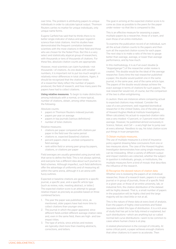over time. The problem is attributing papers to unique individuals in order to calculate typical output. Thomson Reuters carries no marker for unique individuals, only unique name forms.

Eugene Garfield has said that he thinks there is no better single indicator of status and peer regard in science than total citations. And his studies have demonstrated the frequent correlation between scientists with the most citations in their field and those who are chosen for the Nobel Prize. But this is a very select and statistically atypical group of researchers, with thousands or tens of thousands of citations. For these few, absolute citation counts are appropriate.

However, most scientists can claim hundreds—not thousands—of citations. As one deals with smaller numbers, it is important not to put too much weight on relatively minor differences in total citations. Again, it should be recognized that the citation totals of a researcher likely reflect the number of papers produced, the field of research, and how many years the papers have had to collect citations.

**Using relative measures**. To begin to make distinctions among individuals with a normal, or more typical, number of citations, obtain, among other measures the following:

Absolute counts:

- papers in Thomson Reuters-indexed journals
- papers per year on average
- papers in top journals (various definitions)
- number of total citations

Relative measures:

- • citations per paper compared with citations per paper in the field over the same period
- citations vs. expected (baseline) citations
- percent papers cited vs. uncited compared to field average
- rank within field or among peer group by papers, citations, or citations per paper

Field averages are usually generated using journal sets that serve to define the field. This is not always optimal, and everyone has a different idea about such journal-tofield schemes. Although imperfect, such field definitions offer the advantage of uniformity and of measuring all within the same arena, although it is an arena with fuzzy outlines.

Expected or baseline citations are geared to a specific journal, a specific year, and a specific article type (such as review, note, meeting abstract, or letter.) The expected citation score is an attempt to gauge relative impact as precisely as possible based on three combined factors:

- 1. The year the paper was published, since, as mentioned, older papers have had more time to collect citations than younger ones.
- 2. The journal in which the paper appeared, since different fields exhibit different average citation rates and, even in the same field, there are high- and lowimpact titles.
- 3. The type of article, since articles and reviews are typically cited more than meeting abstracts, corrections, and letters.

The goal in arriving at the expected citation score is to come as close as possible to the peers for the paper under review—so that like is compared to like.

This is an effective measure for assessing a paper, multiple papers by a researcher, those of a team, and even those of an entire institution.

To examine the publication record of an individual, sum all the actual citation counts to the papers and then sum all the expected citation scores for each paper. The next step is to make a ratio of the two to gauge better than average, average, or lower than average performance, and by how much.

In this methodology, it is as if an exact double (a "doppelganger") of the researcher under review is created. This double would be the ideal of the average researcher. Every time the real researcher published a paper, the double would publish one in the same journal, in the same year, and of the same article type. The papers of the double would always achieve the exact average in terms of citations for such papers. The real researcher would not, of course, but the comparison of the two is often enlightening.

A caution: there are instances where comparing actual to expected citations may mislead. Consider the case of a very prominent, well-regarded biomedical researcher in the United States, one of the elite group of Howard Hughes Medical Institute Investigators. When calculated, his actual-to-expected-citation ratio was a very modest +3 percent, or 3 percent more than average. However, he published almost exclusively in *Science, Nature,* and *Cell* — a very high bar to jump over at every attempt. Needless to say, his total citation score put things in truer perspective.

# 7) Obtain multiple measures.

The use of multiple measures is a kind of insurance policy against drawing false conclusions from one or two measures alone. The case of the Howard Hughes Investigator demonstrates how using single measures can be misleading. When a variety of different output and impact statistics are collected, whether the subject in question is individuals, groups, or institutions, the multiple measures form a kind of mosaic that describes the influence of the research.

#### 8) Recognize the skewed nature of citation data.

Whether one is reviewing the papers of an individual researcher, those of a research team, papers in a single journal or in group of journals, those of a specific field in a given year, or those of an entire university, lab, or industrial firm, the citation distribution of the dataset will be highly skewed. That is, a small number of papers in the population will be highly cited and the large majority will be cited little or not at all.

This is the nature of these data at every level of analysis. Even the papers of highly cited scientists and Nobel laureates exhibit this type of distribution. It is a rich area of study that has yet to be fully mined or explained, but such distributions—which are anything but so-called normal bell curve distributions—seem to be common to cases where human choice is at play.

A related phenomenon is the concept of criticality. At some critical point, a paper achieves enough citations that other citations to it seem to accelerate. Then

 **. . . . . . . . . . . . . . . . . . . . . . . . . . . . . . . . . . . . . . . . . . . . . . . . . . . . . . . . . . . . . . . . . . . . . . . . . . . . . . . . . . . . . . . . . . . . . . . . . . . . . . . . . . . . . . . . . . . . . . .**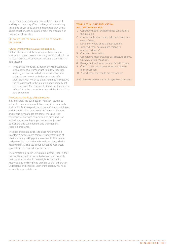the paper, in citation terms, takes off on a different and higher trajectory. (The challenge of determining this point, as yet to be defined mathematically with a single equation, has begun to attract the attention of theoretical physicists.)

9) Confirm that the data collected are relevant to the question.

#### 10) Ask whether the results are reasonable.

Bibliometricians and those who use these data for science policy and research funding decisions should do no less than follow scientific process for evaluating the data yielded.

Thus, these two rules, although they represent two different steps, are important to follow together. In doing so, the user will double-check the data collected and view it with the same scientific skepticism with which all data should be viewed: Are the data relevant to the question one originally set out to answer? Can the conclusions from the data be refuted? Are the conclusions beyond the limits of the data collected?

#### The Overarching Rule of Bibliometrics

It is, of course, the business of Thomson Reuters to advocate the use of quantitative analysis for research evaluation. But we speak out about naïve methodologies and the misleading uses to which Thomson Reuters and others' similar data are sometimes put. The consequences of such misuse can be profound—for individuals, research groups, institutions, journal publishers, and even nations and their national research programs.

The goal of bibliometrics is to discover something, to obtain a better, more complete understanding of what is actually taking place in research. This deeper understanding can better inform those charged with making difficult choices about allocating resources, generally in the context of peer review.

The overarching rule in using bibliometrics, then, is that the results should be presented openly and honestly, that the analysis should be straightforward in its methodology and simple to explain, so that others can understand and check it. Such transparency will help ensure its appropriate use.

 **. . . . . . . . . . . . . . . . . . . . . . . . . . . . . . . . . . . . . . . . . . . . . . . . . . . . . . . . . . . . . . . . . . . . . . . . . . . . . . . . . . . . . . . . . . . . . . . . . . . . . . . . . . . . . . . . . . . . . . .**

#### Ten Rules in Using Publication and Citation Analysis

- 1. Consider whether available data can address the question.
- 2. Choose publication types, field definitions, and years of data.
- 3. Decide on whole or fractional counting.
- 4. Judge whether data require editing to remove "artifacts".
- 5. Compare like with like.
- 6. Use relative measures, not just absolute counts.
- Obtain multiple measures.
- 8. Recognize the skewed nature of citation data.
- 9. Confirm that the data collected are relevant to the question.
- 10. Ask whether the results are reasonable.

*And, above all, present the results openly and honestly.*